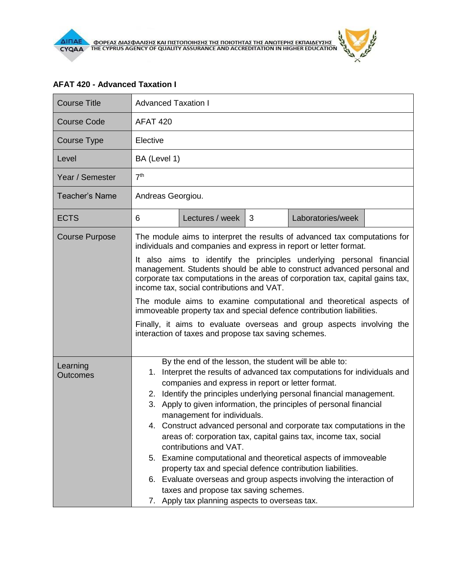## **AFAT 420 - Advanced Taxation I**

| <b>Course Title</b>         | <b>Advanced Taxation I</b>                                                                                                                                                                                                                                                                                                                                                                                                                                                                                                                                                                                                                                                                                                                                                                                                                        |  |  |  |
|-----------------------------|---------------------------------------------------------------------------------------------------------------------------------------------------------------------------------------------------------------------------------------------------------------------------------------------------------------------------------------------------------------------------------------------------------------------------------------------------------------------------------------------------------------------------------------------------------------------------------------------------------------------------------------------------------------------------------------------------------------------------------------------------------------------------------------------------------------------------------------------------|--|--|--|
| <b>Course Code</b>          | <b>AFAT 420</b>                                                                                                                                                                                                                                                                                                                                                                                                                                                                                                                                                                                                                                                                                                                                                                                                                                   |  |  |  |
| Course Type                 | Elective                                                                                                                                                                                                                                                                                                                                                                                                                                                                                                                                                                                                                                                                                                                                                                                                                                          |  |  |  |
| Level                       | BA (Level 1)                                                                                                                                                                                                                                                                                                                                                                                                                                                                                                                                                                                                                                                                                                                                                                                                                                      |  |  |  |
| Year / Semester             | 7 <sup>th</sup>                                                                                                                                                                                                                                                                                                                                                                                                                                                                                                                                                                                                                                                                                                                                                                                                                                   |  |  |  |
| <b>Teacher's Name</b>       | Andreas Georgiou.                                                                                                                                                                                                                                                                                                                                                                                                                                                                                                                                                                                                                                                                                                                                                                                                                                 |  |  |  |
| <b>ECTS</b>                 | Lectures / week<br>Laboratories/week<br>6<br>3                                                                                                                                                                                                                                                                                                                                                                                                                                                                                                                                                                                                                                                                                                                                                                                                    |  |  |  |
| <b>Course Purpose</b>       | The module aims to interpret the results of advanced tax computations for<br>individuals and companies and express in report or letter format.                                                                                                                                                                                                                                                                                                                                                                                                                                                                                                                                                                                                                                                                                                    |  |  |  |
|                             | It also aims to identify the principles underlying personal financial<br>management. Students should be able to construct advanced personal and<br>corporate tax computations in the areas of corporation tax, capital gains tax,<br>income tax, social contributions and VAT.<br>The module aims to examine computational and theoretical aspects of<br>immoveable property tax and special defence contribution liabilities.                                                                                                                                                                                                                                                                                                                                                                                                                    |  |  |  |
|                             |                                                                                                                                                                                                                                                                                                                                                                                                                                                                                                                                                                                                                                                                                                                                                                                                                                                   |  |  |  |
|                             | Finally, it aims to evaluate overseas and group aspects involving the<br>interaction of taxes and propose tax saving schemes.                                                                                                                                                                                                                                                                                                                                                                                                                                                                                                                                                                                                                                                                                                                     |  |  |  |
| Learning<br><b>Outcomes</b> | By the end of the lesson, the student will be able to:<br>Interpret the results of advanced tax computations for individuals and<br>1.<br>companies and express in report or letter format.<br>2. Identify the principles underlying personal financial management.<br>3. Apply to given information, the principles of personal financial<br>management for individuals.<br>4. Construct advanced personal and corporate tax computations in the<br>areas of: corporation tax, capital gains tax, income tax, social<br>contributions and VAT.<br>5. Examine computational and theoretical aspects of immoveable<br>property tax and special defence contribution liabilities.<br>6. Evaluate overseas and group aspects involving the interaction of<br>taxes and propose tax saving schemes.<br>7. Apply tax planning aspects to overseas tax. |  |  |  |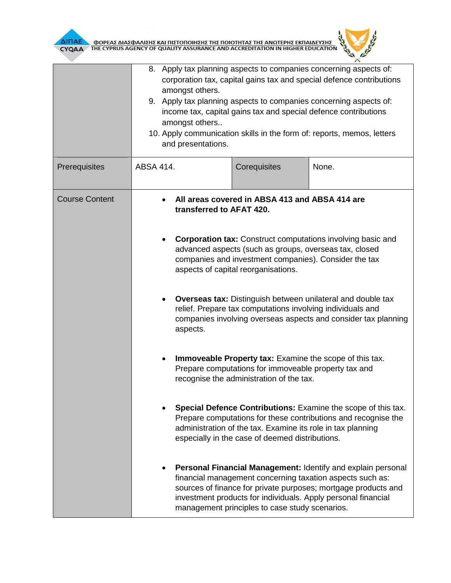



|                       | 8. Apply tax planning aspects to companies concerning aspects of:<br>corporation tax, capital gains tax and special defence contributions<br>amongst others.<br>9. Apply tax planning aspects to companies concerning aspects of:<br>income tax, capital gains tax and special defence contributions<br>amongst others<br>10. Apply communication skills in the form of: reports, memos, letters<br>and presentations. |                                                                                                                                                                                                                                                                                                                                                                                                                                                                                                                              |                                                                                                                                                                                                                                                              |  |
|-----------------------|------------------------------------------------------------------------------------------------------------------------------------------------------------------------------------------------------------------------------------------------------------------------------------------------------------------------------------------------------------------------------------------------------------------------|------------------------------------------------------------------------------------------------------------------------------------------------------------------------------------------------------------------------------------------------------------------------------------------------------------------------------------------------------------------------------------------------------------------------------------------------------------------------------------------------------------------------------|--------------------------------------------------------------------------------------------------------------------------------------------------------------------------------------------------------------------------------------------------------------|--|
| Prerequisites         | ABSA 414.                                                                                                                                                                                                                                                                                                                                                                                                              | Corequisites                                                                                                                                                                                                                                                                                                                                                                                                                                                                                                                 | None.                                                                                                                                                                                                                                                        |  |
| <b>Course Content</b> |                                                                                                                                                                                                                                                                                                                                                                                                                        | All areas covered in ABSA 413 and ABSA 414 are<br>transferred to AFAT 420.<br><b>Corporation tax:</b> Construct computations involving basic and<br>advanced aspects (such as groups, overseas tax, closed<br>companies and investment companies). Consider the tax<br>aspects of capital reorganisations.<br><b>Overseas tax:</b> Distinguish between unilateral and double tax<br>relief. Prepare tax computations involving individuals and<br>companies involving overseas aspects and consider tax planning<br>aspects. |                                                                                                                                                                                                                                                              |  |
|                       |                                                                                                                                                                                                                                                                                                                                                                                                                        |                                                                                                                                                                                                                                                                                                                                                                                                                                                                                                                              |                                                                                                                                                                                                                                                              |  |
|                       |                                                                                                                                                                                                                                                                                                                                                                                                                        |                                                                                                                                                                                                                                                                                                                                                                                                                                                                                                                              |                                                                                                                                                                                                                                                              |  |
|                       |                                                                                                                                                                                                                                                                                                                                                                                                                        | Immoveable Property tax: Examine the scope of this tax.<br>Prepare computations for immoveable property tax and<br>recognise the administration of the tax.                                                                                                                                                                                                                                                                                                                                                                  |                                                                                                                                                                                                                                                              |  |
|                       |                                                                                                                                                                                                                                                                                                                                                                                                                        | administration of the tax. Examine its role in tax planning<br>especially in the case of deemed distributions.                                                                                                                                                                                                                                                                                                                                                                                                               | Special Defence Contributions: Examine the scope of this tax.<br>Prepare computations for these contributions and recognise the                                                                                                                              |  |
|                       |                                                                                                                                                                                                                                                                                                                                                                                                                        | management principles to case study scenarios.                                                                                                                                                                                                                                                                                                                                                                                                                                                                               | Personal Financial Management: Identify and explain personal<br>financial management concerning taxation aspects such as:<br>sources of finance for private purposes; mortgage products and<br>investment products for individuals. Apply personal financial |  |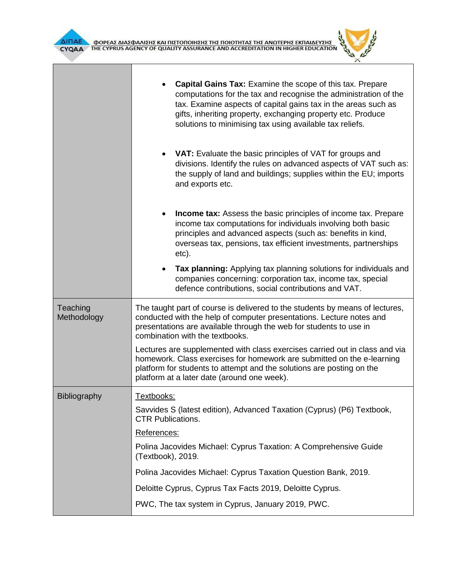



| divisions. Identify the rules on advanced aspects of VAT such as:<br>the supply of land and buildings; supplies within the EU; imports                                                                                                                                        |  |  |  |
|-------------------------------------------------------------------------------------------------------------------------------------------------------------------------------------------------------------------------------------------------------------------------------|--|--|--|
| <b>Income tax:</b> Assess the basic principles of income tax. Prepare<br>income tax computations for individuals involving both basic<br>principles and advanced aspects (such as: benefits in kind,<br>overseas tax, pensions, tax efficient investments, partnerships       |  |  |  |
| Tax planning: Applying tax planning solutions for individuals and<br>companies concerning: corporation tax, income tax, special                                                                                                                                               |  |  |  |
| The taught part of course is delivered to the students by means of lectures,<br>conducted with the help of computer presentations. Lecture notes and<br>presentations are available through the web for students to use in<br>combination with the textbooks.                 |  |  |  |
| Lectures are supplemented with class exercises carried out in class and via<br>homework. Class exercises for homework are submitted on the e-learning<br>platform for students to attempt and the solutions are posting on the<br>platform at a later date (around one week). |  |  |  |
|                                                                                                                                                                                                                                                                               |  |  |  |
| Savvides S (latest edition), Advanced Taxation (Cyprus) (P6) Textbook,<br><b>CTR Publications.</b><br>References:                                                                                                                                                             |  |  |  |
|                                                                                                                                                                                                                                                                               |  |  |  |
| Polina Jacovides Michael: Cyprus Taxation Question Bank, 2019.                                                                                                                                                                                                                |  |  |  |
| Deloitte Cyprus, Cyprus Tax Facts 2019, Deloitte Cyprus.                                                                                                                                                                                                                      |  |  |  |
|                                                                                                                                                                                                                                                                               |  |  |  |
|                                                                                                                                                                                                                                                                               |  |  |  |